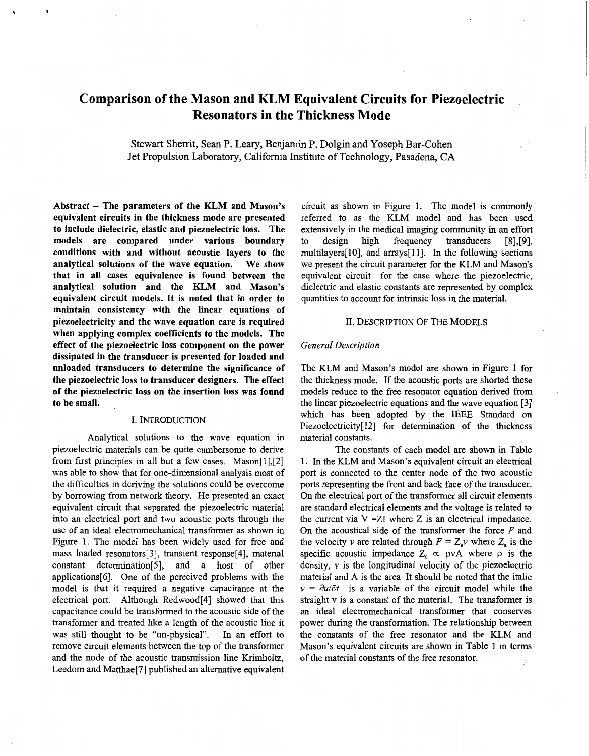# **Comparison of the Mason and KLM Equivalent Circuits for Piezoelectric Resonators in the Thickness Mode**

Stewart Sherrit, Sean P. Leary, Benjamin P. Dolgin and Yoseph Bar-Cohen Jet Propulsion Laboratory, California Institute of Technology, Pasadena, **CA** 

**Abstract** - **The parameters of the KLM and Mason's equivalent circuits in the thickness mode are presented to include dielectric, elastic and piezoelectric loss. The models are compared under various boundary conditions with and without acoustic layers to the analytical solutions of the wave equation. We show that in all cases equivalence is found between the analytical solution and the KLM and Mason's equivalent circuit models. It is noted that in order to maintain consistency with the linear equations of piezoelectricity and the wave equation care is required when applying complex coefficients to the models. The effect of the piezoelectric loss component on the power dissipated in the transducer is presented for loaded and unloaded transducers to determine the significance of the piezoelectric loss to transducer designers. The effect of the piezoelectric loss on the insertion loss was found to be small.** 

## I. INTRODUCTION

Analytical solutions to the wave quation in piezoelectric materials can be quite cumbersome to derive from first principles in all but a few cases. Mason[l],[2] was able to show that for one-dimensional analysis most of the difficulties in deriving the solutions could be overcome by borrowing from network theory. He presented an exact equivalent circuit that separated the piezoelectric material into an electrical port and two acoustic ports through the use of an ideal electromechanical transformer as shown in [Figure 1.](#page-1-0) The model has been widely used for free and mass loaded resonators[3], transient response[4], material constant determination[5], and a host of other applications[6]. One **of** the perceived problems with the model is that it required a negative capacitance at the electrical port. Although Redwood[4] showed that this capacitance could be transformed to the acoustic side of the transformer and treated like a length of the acoustic line it was still thought to be "un-physical". In an effort to remove circuit elements between the top of the transformer and the node of the acoustic transmission line Krimholtz, Leedom and Matthae[7] published an alternative equivalent circuit as shown in [Figure 1.](#page-1-0) The model is commonly referred to as the KLM model and has been used extensively in the medical imaging community in an effort<br>to design high frequency transducers [8],[9], to design high frequency transducers [8],[9], multilayers[lO], and arrays[ll]. In the following sections we present the circuit parameter for the KLM and Mason's equivalent circuit for the case where the piezoelectric, dielectric and elastic constants are represented by complex quantities to account for intrinsic loss in the material.

#### 11. DESCRIPTION OF THE MODELS

#### *General Description*

The KLM and Mason's model are shown in [Figure 1](#page-1-0) for the thickness mode. If the acoustic ports are shorted these models reduce to the free resonator equation derived from the linear piezoelectric equations and the wave equation [3] which as been adopted by the IEEE Standard on Piezoelectricity[12] for determination of the thickness material constants.

The constants of each model are shown in [Table](#page-1-0) [1.](#page-1-0) In the KLM and Mason's equivalent circuit an electrical port is connected to the center node of the two acoustic ports representing the front and back face of the transducer. On the electrical port of the transformer all circuit elements are standard electrical elements and the voltage is related to the current via  $V = ZI$  where Z is an electrical impedance. On the acoustical side of the transformer the force *F* and the velocity v are related through  $F = Z_a v$  where  $Z_a$  is the specific acoustic impedance  $Z_a \propto \rho vA$  where  $\rho$  is the density, v is the longitudinal velocity of the piezoelectric material and A is the area. It should be noted that the italic  $v = \partial u / \partial t$  is a variable of the circuit model while the straight v is a constant of the material. The transformer is an ideal electromechanical transformer that conserves power during the transformation. The relationship between the constants of the free resonator and the KLM and Mason's equivalent circuits are shown in [Table 1](#page-1-0) in terms of the material constants of the free resonator.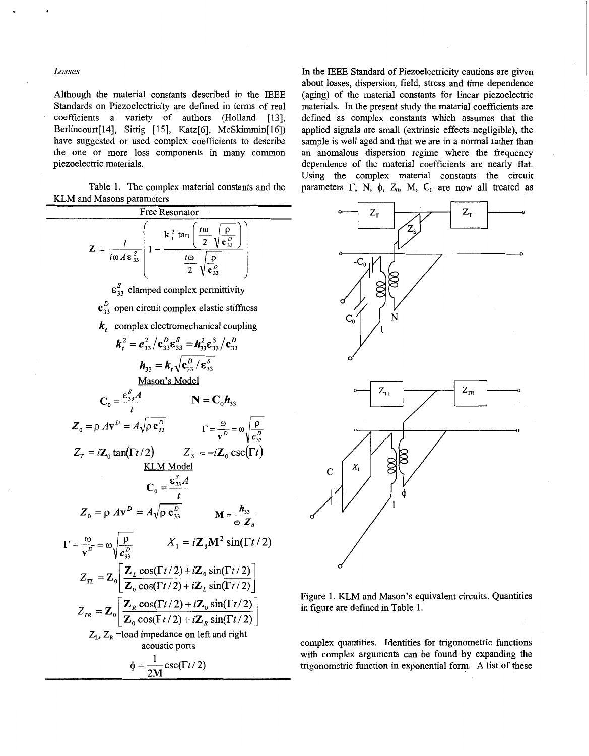#### <span id="page-1-0"></span>*Losses*

Although the material constants described in the IEEE Standards on Piezoelectricity are defined in terms of real coefficients a variety of authors (Holland [13], Berlincourt[14], Sittig [15], Katz[6], McSkimmin[16]) have suggested or used complex coefficients to describe the one or more loss components in many common piezoelectric materials.

Table 1. The complex material constants and the KLM and Masons parameters



In the IEEE Standard of Piezoelectricity cautions are given about losses, dispersion, field, stress and time dependence (aging) of the material constants for linear piezoelectric materials. In the present study the material coefficients are defined as complex constants which assumes that the applied signals are small (extrinsic effects negligible), the sample is well aged and that we are in a normal rather than an anomalous dispersion regime where the frequency dependence of the material coefficients are nearly flat. Using the complex material constants the circuit parameters  $\Gamma$ , N,  $\phi$ , Z<sub>0</sub>, M, C<sub>0</sub> are now all treated as



Figure 1. KLM and Mason's equivalent circuits. Quantities in figure are defined in Table **1.** 

complex quantities. Identities for trigonometric functions with complex arguments can be found by expanding the trigonometric function in exponential form. **A** list of these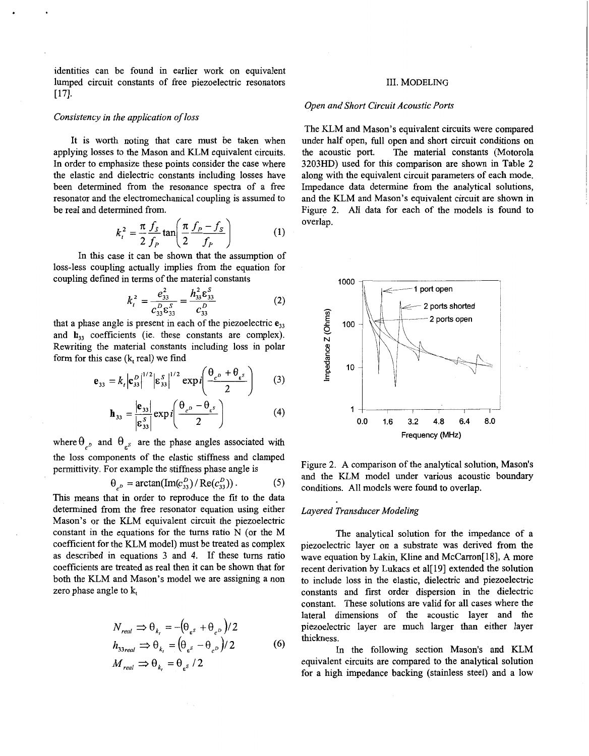<span id="page-2-0"></span>identities can be found in earlier work on equivalent lumped circuit constants of free piezoelectric resonators ~171.

#### *Consistency in the application of loss*

It is worth noting that care must be taken when applying losses to the Mason and KLM equivalent circuits. In order to emphasize these points consider the case where the elastic and dielectric constants including losses have been determined from the resonance spectra of a free resonator and the electromechanical coupling is assumed to be real and determined from.

$$
k_t^2 = \frac{\pi}{2} \frac{f_s}{f_p} \tan\left(\frac{\pi}{2} \frac{f_p - f_s}{f_p}\right) \tag{1}
$$

In this case it can be shown that the assumption of loss-less coupling actually implies from the equation for coupling defined in terms of the material constants

$$
k_i^2 = \frac{e_{33}^2}{c_{33}^0 \epsilon_{33}^S} = \frac{h_{33}^2 \epsilon_{33}^S}{c_{33}^D}
$$
 (2)

that a phase angle is present in each of the piezoelectric *e,,*  and **h,,** coefficients (ie. these constants are complex). Rewriting the material constants including loss in polar form for this case **(k,** real) we find

$$
\mathbf{e}_{33} = k_t \Big| \mathbf{c}_{33}^D \Big|^{1/2} \Big| \mathbf{\epsilon}_{33}^S \Big|^{1/2} \exp i \Bigg( \frac{\theta_{c^D} + \theta_{\epsilon^S}}{2} \Bigg) \qquad (3)
$$

$$
\mathbf{h}_{33} = \frac{\left|\mathbf{e}_{33}\right|}{\left|\mathbf{g}_{33}^S\right|} \exp i\left(\frac{\theta_{c^D} - \theta_{\epsilon^S}}{2}\right) \tag{4}
$$

where  $\theta_{\rho}$  and  $\theta_{\rho}$  are the phase angles associated with the loss components of the elastic stiffness and clamped permittivity. For example the stiffness phase angle is

$$
\theta_{c^D} = \arctan(\text{Im}(c_{33}^D) / \text{Re}(c_{33}^D)). \tag{5}
$$

This means that in order to reproduce the fit to the data determined from the free resonator equation using either Mason's or the KLM equivalent circuit the piezoelectric constant in the equations for the turns ratio N (or the M coefficient for the KLM model) must be treated as complex as described in equations 3 and 4. If these turns ratio coefficients are treated as real then it can be shown that for both the KLM and Mason's model we are assigning a non zero phase angle to **k,** 

$$
N_{real} \Rightarrow \theta_{k_t} = -(\theta_{\epsilon^s} + \theta_{\epsilon^b})/2
$$
  
\n
$$
h_{33\,real} \Rightarrow \theta_{k_t} = (\theta_{\epsilon^s} - \theta_{\epsilon^b})/2
$$
  
\n
$$
M_{real} \Rightarrow \theta_{k_t} = \theta_{\epsilon^s}/2
$$
 (6)

## 111. MODELING

## *Open and Short Circuit Acoustic Ports*

The KLM and Mason's equivalent circuits were compared under half open, full open and short circuit conditions on<br>the acoustic port. The material constants (Motorola The material constants (Motorola 3203HD) used for this comparison are shown in [Table](#page-4-0) **2**  along with the equivalent circuit parameters of each mode. Impedance data determine from the analytical solutions, and the KLM and Mason's equivalent circuit are shown in Figure 2. All data for each of the models is found to overlap.



Figure 2. A comparison of the analytical solution, Mason's and the KLM model under various acoustic boundary conditions. All models were found to overlap.

## *Layered Transducer Modeling*

The analytical solution for the impedance of a piezoelectric layer on a substrate was derived from the wave equation by Lakin, Kline and McCarron[18], A more recent derivation by Lukacs et al[ **191** extended the solution to include loss in the elastic, dielectric and piezoelectric constants and first order dispersion in the dielectric constant. These solutions are valid for all cases where the lateral dimensions of the acoustic layer and the piezoelectric layer are much larger than either layer thickness.

In the following section Mason's and KLM equivalent circuits are compared to the analytical solution for a high impedance backing (stainless steel) and a low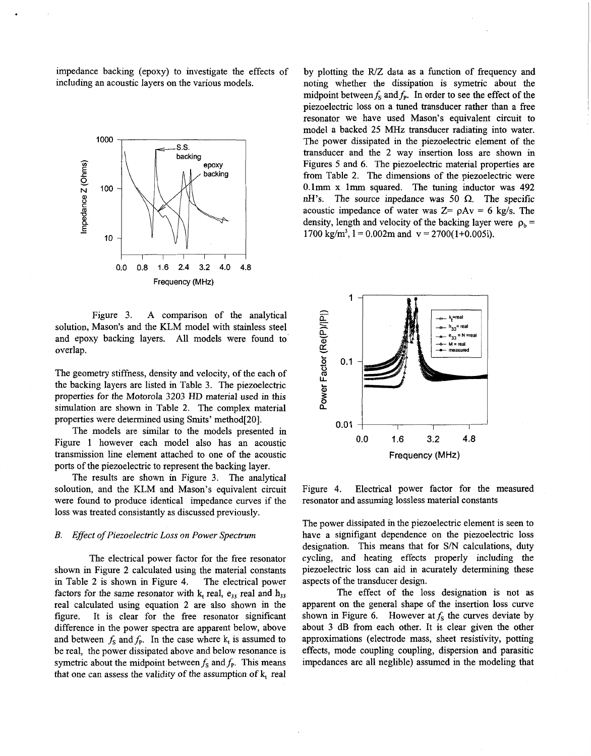<span id="page-3-0"></span>impedance backing (epoxy) to investigate the effects of including an acoustic layers on the various models.



Figure 3. A comparison of the analytical solution, Mason's and the KLM model with stainless steel and epoxy backing layers. All models were found to' overlap.

The geometry stiffness, density and velocity, of the each of the backing layers are listed in [Table 3.](#page-4-0) The piezoelectric properties for the Motorola 3203 HD material used in this simulation are shown in [Table 2.](#page-4-0) The complex material properties were determined using Smits' method[20].

The models are similar to the models presented in [Figure 1](#page-1-0) however each model also has an acoustic transmission line element attached to one of the acoustic ports of the piezoelectric to represent the backing layer.

The results are shown in Figure 3. The analytical soloution, and the KLM and Mason's equivalent circuit were found to produce identical impedance curves if the loss was treated consistantly as discussed previously.

#### *B. Effect of Piezoelectric Loss on Power Spectrum*

The electrical power factor for the free resonator shown in [Figure 2](#page-2-0) calculated using the material constants in [Table 2](#page-4-0) is shown in Figure 4. The electrical power factors for the same resonator with  $k_t$  real,  $e_{33}$  real and  $h_{33}$ real calculated using equation 2 are also shown in the figure. It is clear for the free resonator significant difference in the power spectra are apparent below, above and between  $f_s$  and  $f_p$ . In the case where  $k_t$  is assumed to be real, the power dissipated above and below resonance is symetric about the midpoint between  $f_s$  and  $f_p$ . This means that one can assess the validity of the assumption of **k,** real

by plotting the R/Z data as a function of frequency and noting whether the dissipation is symetric about the midpoint between  $f_s$  and  $f_p$ . In order to see the effect of the piezoelectric loss on a tuned transducer rather than a free resonator we have used Mason's equivalent circuit to model a backed 25 MHz transducer radiating into water. The power dissipated in the piezoelectric element of the transducer and the 2 way insertion loss are shown in Figures 5 and *6.* The piezoelectric material properties are from [Table 2.](#page-4-0) The dimensions of the piezoelectric were  $0.1$ mm x 1mm squared. The tuning inductor was 492 nH's. The source inpedance was 50  $\Omega$ . The specific acoustic impedance of water was  $Z = \rho A v = 6$  kg/s. The density, length and velocity of the backing layer were  $\rho_b =$ 1700 kg/m<sup>3</sup>, 1 = 0.002m and  $v = 2700(1+0.005i)$ .



Figure 4. Electrical power factor for the measured resonator and assuming lossless material constants

The power dissipated in the piezoelectric element is seen to have a signifigant dependence on the piezoelectric loss designation. This means that for **S/N** calculations, duty cycling, and heating effects properly including the piezoelectric loss can aid in acurately determining these aspects of the transducer design.

The effect of the loss designation is not as apparent on the general shape of the insertion loss curve shown in Figure 6. However at  $f_s$  the curves deviate by about 3 dB from each other. It is clear given the other approximations (electrode mass, sheet resistivity, potting effects, mode coupling coupling, dispersion and parasitic impedances are all neglible) assumed in the modeling that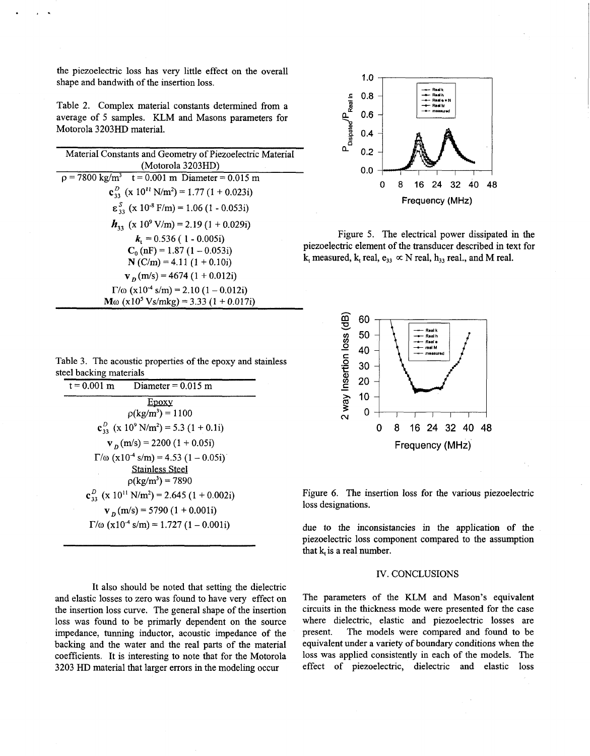the piezoelectric loss has very little effect on the overall shape and bandwith of the insertion loss.

<span id="page-4-0"></span>. **1.** 

Table 2. Complex material constants determined from a average of 5 samples. KLM and Masons parameters for Motorola 3203HD material.

| Material Constants and Geometry of Piezoelectric Material                      |
|--------------------------------------------------------------------------------|
| (Motorola 3203HD)                                                              |
| $p = 7800 \text{ kg/m}^3$ t = 0.001 m Diameter = 0.015 m                       |
| $\mathbf{c}_{33}^D$ (x 10 <sup>11</sup> N/m <sup>2</sup> ) = 1.77 (1 + 0.023i) |
| $\epsilon_{33}^{S}$ (x 10 <sup>-8</sup> F/m) = 1.06 (1 - 0.053i)               |
| $h_{33}$ (x 10 <sup>9</sup> V/m) = 2.19 (1 + 0.029i)                           |
| $k_1 = 0.536$ (1 - 0.005i)                                                     |
| $C_0$ (nF) = 1.87 (1 – 0.053i)                                                 |
| $N(C/m) = 4.11(1 + 0.10i)$                                                     |
| $v_p$ (m/s) = 4674 (1 + 0.012i)                                                |
| $\Gamma/\omega$ (x10 <sup>-4</sup> s/m) = 2.10 (1 – 0.012i)                    |
| $M\omega$ (x10 <sup>5</sup> Vs/mkg) = 3.33 (1 + 0.017i)                        |

Table 3. The acoustic properties of the epoxy and stainless steel backing materials

| $t = 0.001$ m<br>Diameter = $0.015$ m                                                       |  |
|---------------------------------------------------------------------------------------------|--|
| Epoxy                                                                                       |  |
| $\rho(\text{kg/m}^3) = 1100$                                                                |  |
| $c_{33}^{D}$ (x 10 <sup>9</sup> N/m <sup>2</sup> ) = 5.3 (1 + 0.1i)                         |  |
| $v_p$ (m/s) = 2200 (1 + 0.05i)                                                              |  |
| $\Gamma/\omega$ (x10 <sup>-4</sup> s/m) = 4.53 (1 - 0.05i)                                  |  |
| <b>Stainless Steel</b>                                                                      |  |
| $p(\text{kg/m}^3) = 7890$                                                                   |  |
| $\mathbf{c}_{33}^{\mathcal{D}}$ (x 10 <sup>11</sup> N/m <sup>2</sup> ) = 2.645 (1 + 0.002i) |  |
| $v_p$ (m/s) = 5790 (1 + 0.001i)                                                             |  |
| $\Gamma/\omega$ (x10 <sup>-4</sup> s/m) = 1.727 (1 – 0.001i)                                |  |

It also should be noted that setting the dielectric and elastic losses to zero was found to have very effect on the insertion **loss** curve. The general shape of the insertion loss was found to be primarly dependent on the source impedance, tunning inductor, acoustic impedance **of** the backing and the water and the real parts of the material coefficients. It is interesting to note that for the Motorola 3203 HD material that larger errors in the modeling occur



[Figure 5.](#page-3-0) The electrical power dissipated in the piezoelectric element of the transducer described in text for  $k_t$  measured,  $k_t$  real,  $e_{33} \propto N$  real,  $h_{33}$  real., and M real.



Figure 6. The insertion loss **for** the various piezoelectric **loss** designations.

due to the inconsistancies in the application of the piezoelectric loss component compared to the assumption that **k,** is a real number.

## IV. CONCLUSIONS

The parameters of the KLM and Mason's equivalent circuits in the thickness mode were presented for the case where dielectric, elastic and piezoelectric losses are present. The models were compared and found to be equivalent under a variety of boundary conditions when the loss was applied consistently in each of the models. The effect of piezoelectric, dielectric and elastic loss